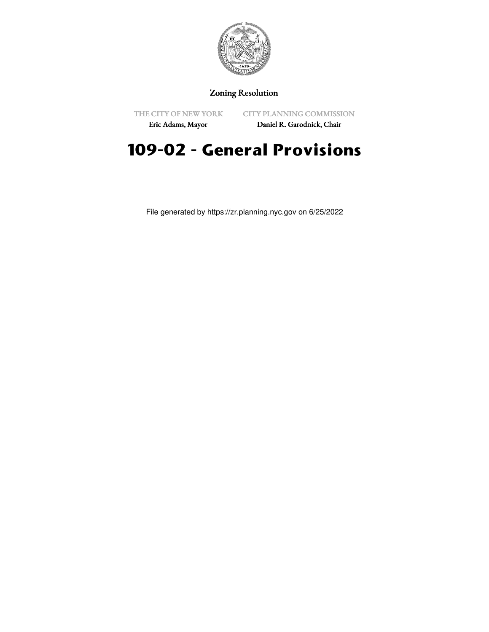

## Zoning Resolution

THE CITY OF NEW YORK

CITY PLANNING COMMISSION

Eric Adams, Mayor

Daniel R. Garodnick, Chair

## **109-02 - General Provisions**

File generated by https://zr.planning.nyc.gov on 6/25/2022